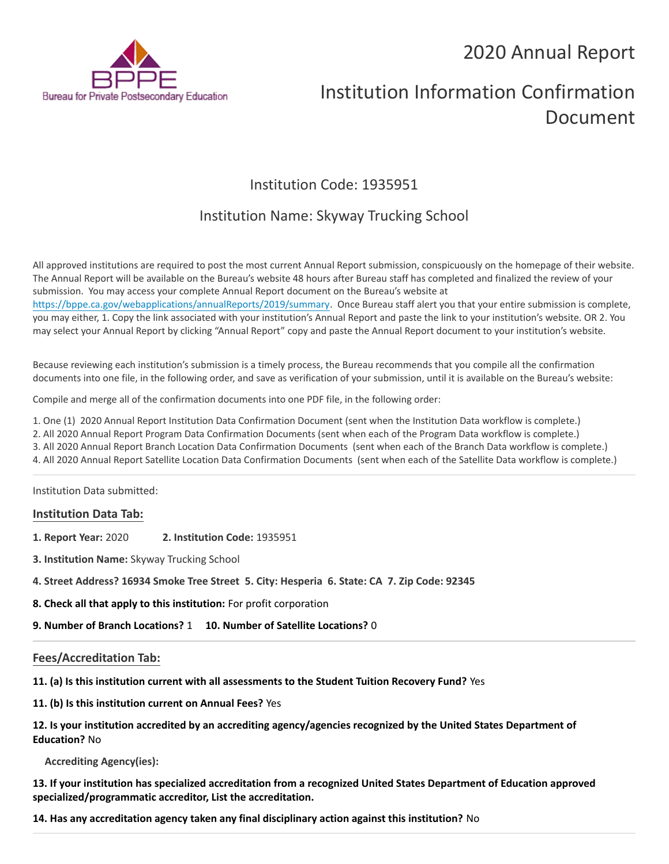# 2020 Annual Report



# Institution Information Confirmation Document

# Institution Code: 1935951

## Institution Name: Skyway Trucking School

All approved institutions are required to post the most current Annual Report submission, conspicuously on the homepage of their website. The Annual Report will be available on the Bureau's website 48 hours after Bureau staff has completed and finalized the review of your submission. You may access your complete Annual Report document on the Bureau's website at <https://bppe.ca.gov/webapplications/annualReports/2019/summary>. Once Bureau staff alert you that your entire submission is complete, you may either, 1. Copy the link associated with your institution's Annual Report and paste the link to your institution's website. OR 2. You may select your Annual Report by clicking "Annual Report" copy and paste the Annual Report document to your institution's website.

Because reviewing each institution's submission is a timely process, the Bureau recommends that you compile all the confirmation documents into one file, in the following order, and save as verification of your submission, until it is available on the Bureau's website:

Compile and merge all of the confirmation documents into one PDF file, in the following order:

1. One (1) 2020 Annual Report Institution Data Confirmation Document (sent when the Institution Data workflow is complete.)

2. All 2020 Annual Report Program Data Confirmation Documents (sent when each of the Program Data workflow is complete.)

3. All 2020 Annual Report Branch Location Data Confirmation Documents (sent when each of the Branch Data workflow is complete.)

4. All 2020 Annual Report Satellite Location Data Confirmation Documents (sent when each of the Satellite Data workflow is complete.)

Institution Data submitted:

#### **Institution Data Tab:**

- **1. Report Year:** 2020 **2. Institution Code:** 1935951
- **3. Institution Name:** Skyway Trucking School
- **4. Street Address? 16934 Smoke Tree Street 5. City: Hesperia 6. State: CA 7. Zip Code: 92345**
- **8. Check all that apply to this institution:** For profit corporation

**9. Number of Branch Locations?** 1 **10. Number of Satellite Locations?** 0

## **Fees/Accreditation Tab:**

**11. (a) Is this institution current with all assessments to the Student Tuition Recovery Fund?** Yes

**11. (b) Is this institution current on Annual Fees?** Yes

**12. Is your institution accredited by an accrediting agency/agencies recognized by the United States Department of Education?** No

**Accrediting Agency(ies):**

**13. If your institution has specialized accreditation from a recognized United States Department of Education approved specialized/programmatic accreditor, List the accreditation.**

**14. Has any accreditation agency taken any final disciplinary action against this institution?** No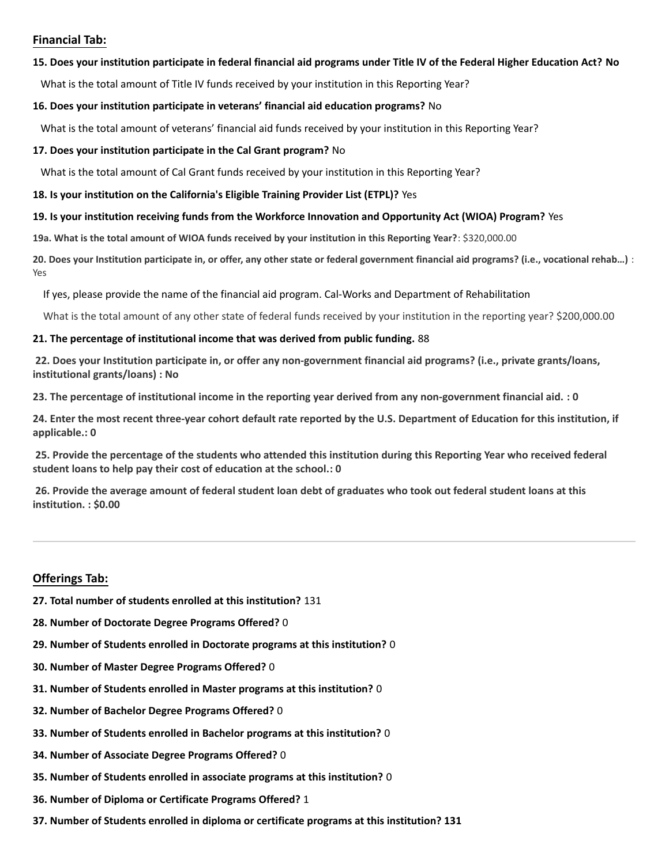### **Financial Tab:**

#### **15. Does your institution participate in federal financial aid programs under Title IV of the Federal Higher Education Act? No**

What is the total amount of Title IV funds received by your institution in this Reporting Year?

#### **16. Does your institution participate in veterans' financial aid education programs?** No

What is the total amount of veterans' financial aid funds received by your institution in this Reporting Year?

#### **17. Does your institution participate in the Cal Grant program?** No

What is the total amount of Cal Grant funds received by your institution in this Reporting Year?

#### **18. Is your institution on the California's Eligible Training Provider List (ETPL)?** Yes

#### **19. Is your institution receiving funds from the Workforce Innovation and Opportunity Act (WIOA) Program?** Yes

**19a. What is the total amount of WIOA funds received by your institution in this Reporting Year?**: \$320,000.00

**20. Does your Institution participate in, or offer, any other state or federal government financial aid programs? (i.e., vocational rehab…)** : Yes

If yes, please provide the name of the financial aid program. Cal-Works and Department of Rehabilitation

What is the total amount of any other state of federal funds received by your institution in the reporting year? \$200,000.00

#### **21. The percentage of institutional income that was derived from public funding.** 88

**22. Does your Institution participate in, or offer any non-government financial aid programs? (i.e., private grants/loans, institutional grants/loans) : No**

**23. The percentage of institutional income in the reporting year derived from any non-government financial aid. : 0**

**24. Enter the most recent three-year cohort default rate reported by the U.S. Department of Education for this institution, if applicable.: 0**

**25. Provide the percentage of the students who attended this institution during this Reporting Year who received federal student loans to help pay their cost of education at the school.: 0**

**26. Provide the average amount of federal student loan debt of graduates who took out federal student loans at this institution. : \$0.00**

## **Offerings Tab:**

- **27. Total number of students enrolled at this institution?** 131
- **28. Number of Doctorate Degree Programs Offered?** 0
- **29. Number of Students enrolled in Doctorate programs at this institution?** 0
- **30. Number of Master Degree Programs Offered?** 0
- **31. Number of Students enrolled in Master programs at this institution?** 0
- **32. Number of Bachelor Degree Programs Offered?** 0
- **33. Number of Students enrolled in Bachelor programs at this institution?** 0
- **34. Number of Associate Degree Programs Offered?** 0
- **35. Number of Students enrolled in associate programs at this institution?** 0
- **36. Number of Diploma or Certificate Programs Offered?** 1
- **37. Number of Students enrolled in diploma or certificate programs at this institution? 131**